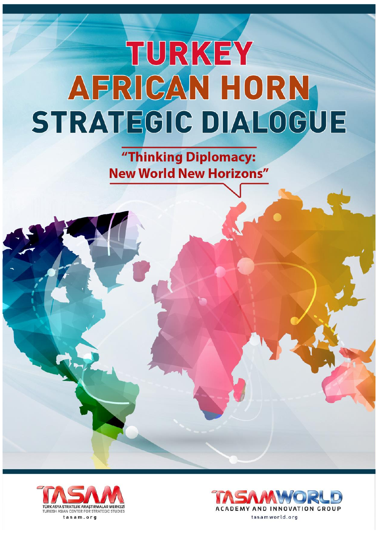"Thinking Diplomacy: **New World New Horizons"** 



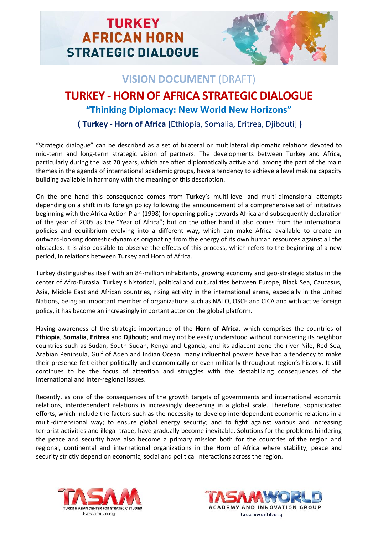

## **VISION DOCUMENT** (DRAFT)

## **TURKEY - HORN OF AFRICA STRATEGIC DIALOGUE "Thinking Diplomacy: New World New Horizons"**

**( Turkey - Horn of Africa** [Ethiopia, Somalia, Eritrea, Djibouti] **)**

"Strategic dialogue" can be described as a set of bilateral or multilateral diplomatic relations devoted to mid-term and long-term strategic vision of partners. The developments between Turkey and Africa, particularly during the last 20 years, which are often diplomatically active and among the part of the main themes in the agenda of international academic groups, have a tendency to achieve a level making capacity building available in harmony with the meaning of this description.

On the one hand this consequence comes from Turkey's multi-level and multi-dimensional attempts depending on a shift in its foreign policy following the announcement of a comprehensive set of initiatives beginning with the Africa Action Plan (1998) for opening policy towards Africa and subsequently declaration of the year of 2005 as the "Year of Africa"; but on the other hand it also comes from the international policies and equilibrium evolving into a different way, which can make Africa available to create an outward-looking domestic-dynamics originating from the energy of its own human resources against all the obstacles. It is also possible to observe the effects of this process, which refers to the beginning of a new period, in relations between Turkey and Horn of Africa.

Turkey distinguishes itself with an 84-million inhabitants, growing economy and geo-strategic status in the center of Afro-Eurasia. Turkey's historical, political and cultural ties between Europe, Black Sea, Caucasus, Asia, Middle East and African countries, rising activity in the international arena, especially in the United Nations, being an important member of organizations such as NATO, OSCE and CICA and with active foreign policy, it has become an increasingly important actor on the global platform.

Having awareness of the strategic importance of the **Horn of Africa**, which comprises the countries of **Ethiopia**, **Somalia**, **Eritrea** and **Djibouti**; and may not be easily understood without considering its neighbor countries such as Sudan, South Sudan, Kenya and Uganda, and its adjacent zone the river Nile, Red Sea, Arabian Peninsula, Gulf of Aden and Indian Ocean, many influential powers have had a tendency to make their presence felt either politically and economically or even militarily throughout region's history. It still continues to be the focus of attention and struggles with the destabilizing consequences of the international and inter-regional issues.

Recently, as one of the consequences of the growth targets of governments and international economic relations, interdependent relations is increasingly deepening in a global scale. Therefore, sophisticated efforts, which include the factors such as the necessity to develop interdependent economic relations in a multi-dimensional way; to ensure global energy security; and to fight against various and increasing terrorist activities and illegal-trade, have gradually become inevitable. Solutions for the problems hindering the peace and security have also become a primary mission both for the countries of the region and regional, continental and international organizations in the Horn of Africa where stability, peace and security strictly depend on economic, social and political interactions across the region.



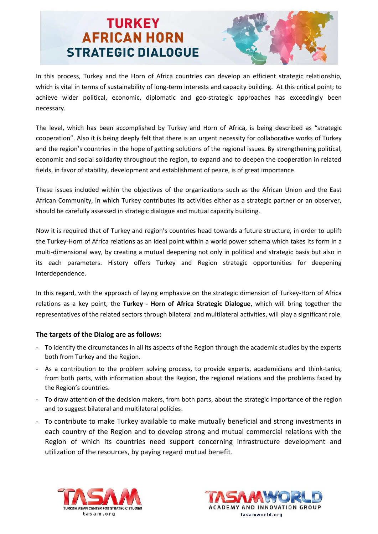

In this process, Turkey and the Horn of Africa countries can develop an efficient strategic relationship, which is vital in terms of sustainability of long-term interests and capacity building. At this critical point; to achieve wider political, economic, diplomatic and geo-strategic approaches has exceedingly been necessary.

The level, which has been accomplished by Turkey and Horn of Africa, is being described as "strategic cooperation". Also it is being deeply felt that there is an urgent necessity for collaborative works of Turkey and the region's countries in the hope of getting solutions of the regional issues. By strengthening political, economic and social solidarity throughout the region, to expand and to deepen the cooperation in related fields, in favor of stability, development and establishment of peace, is of great importance.

These issues included within the objectives of the organizations such as the African Union and the East African Community, in which Turkey contributes its activities either as a strategic partner or an observer, should be carefully assessed in strategic dialogue and mutual capacity building.

Now it is required that of Turkey and region's countries head towards a future structure, in order to uplift the Turkey-Horn of Africa relations as an ideal point within a world power schema which takes its form in a multi-dimensional way, by creating a mutual deepening not only in political and strategic basis but also in its each parameters. History offers Turkey and Region strategic opportunities for deepening interdependence.

In this regard, with the approach of laying emphasize on the strategic dimension of Turkey-Horn of Africa relations as a key point, the **Turkey - Horn of Africa Strategic Dialogue**, which will bring together the representatives of the related sectors through bilateral and multilateral activities, will play a significant role.

#### **The targets of the Dialog are as follows:**

- To identify the circumstances in all its aspects of the Region through the academic studies by the experts both from Turkey and the Region.
- As a contribution to the problem solving process, to provide experts, academicians and think-tanks, from both parts, with information about the Region, the regional relations and the problems faced by the Region's countries.
- To draw attention of the decision makers, from both parts, about the strategic importance of the region and to suggest bilateral and multilateral policies.
- To contribute to make Turkey available to make mutually beneficial and strong investments in each country of the Region and to develop strong and mutual commercial relations with the Region of which its countries need support concerning infrastructure development and utilization of the resources, by paying regard mutual benefit.



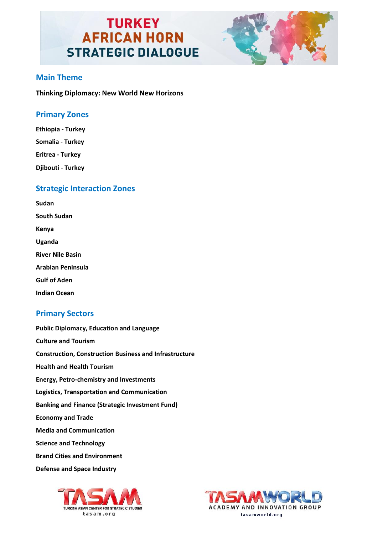

#### **Main Theme**

**Thinking Diplomacy: New World New Horizons**

#### **Primary Zones**

**Ethiopia - Turkey Somalia - Turkey Eritrea - Turkey Djibouti - Turkey**

#### **Strategic Interaction Zones**

**Sudan South Sudan Kenya Uganda River Nile Basin Arabian Peninsula Gulf of Aden** 

**Indian Ocean**

### **Primary Sectors**

**Public Diplomacy, Education and Language Culture and Tourism Construction, Construction Business and Infrastructure Health and Health Tourism Energy, Petro-chemistry and Investments Logistics, Transportation and Communication Banking and Finance (Strategic Investment Fund) Economy and Trade Media and Communication Science and Technology Brand Cities and Environment Defense and Space Industry**